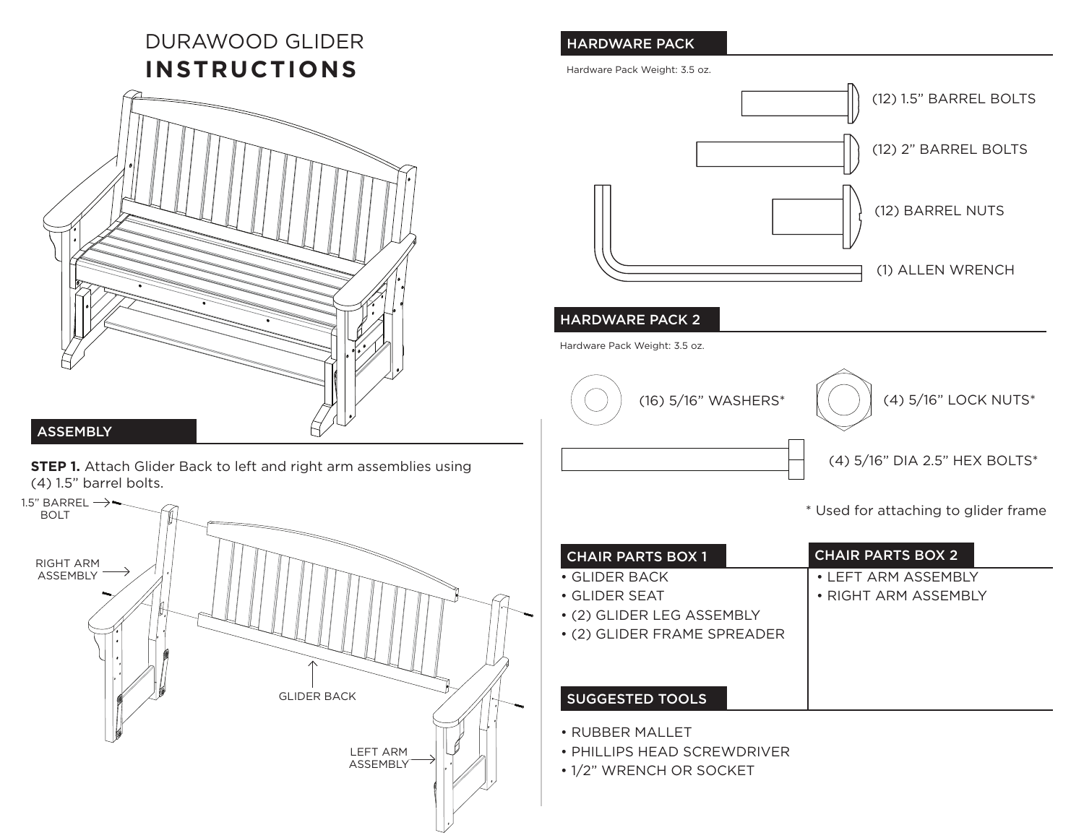# DURAWOOD GLIDER **INSTRUCTIONS**



## **ASSEMBLY**

**STEP 1.** Attach Glider Back to left and right arm assemblies using (4) 1.5" barrel bolts.



## HARDWARE PACK

Hardware Pack Weight: 3.5 oz.



#### HARDWARE PACK 2

Hardware Pack Weight: 3.5 oz.



\* Used for attaching to glider frame

| <b>CHAIR PARTS BOX 1</b>    | <b>CHAIR PARTS BOX 2</b>   |
|-----------------------------|----------------------------|
| $\bullet$ GLIDER BACK.      | $\cdot$ I FFT ARM ASSEMBIY |
| $\bullet$ GLIDER SEAT       | • RIGHT ARM ASSEMBIY       |
| • (2) GLIDER LEG ASSEMBLY   |                            |
| • (2) GLIDER FRAME SPREADER |                            |
|                             |                            |
|                             |                            |
| <b>SUGGESTED TOOLS</b>      |                            |

• RUBBER MALLET

• PHILLIPS HEAD SCREWDRIVER

• 1/2" WRENCH OR SOCKET